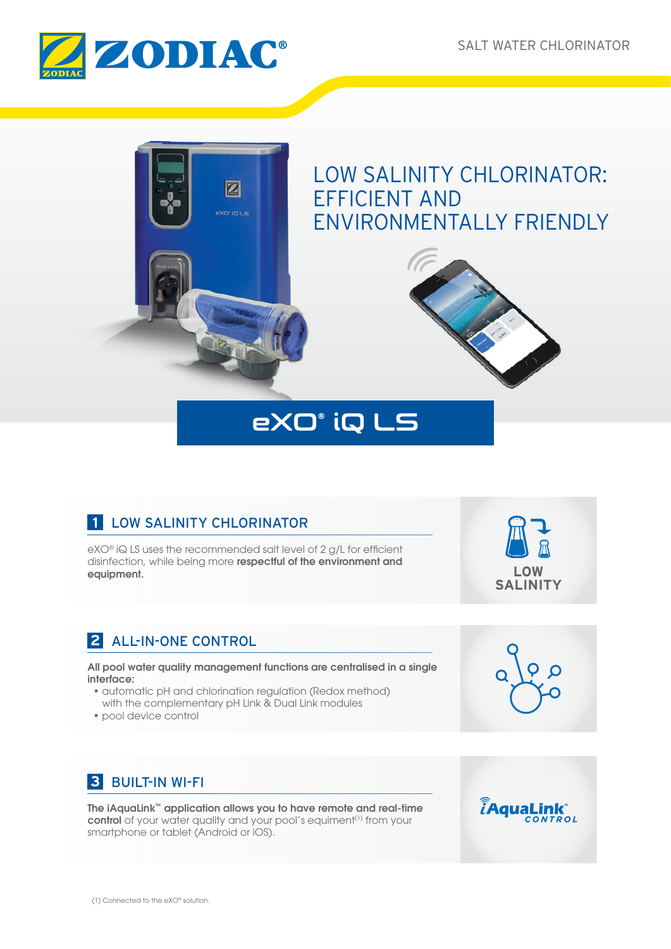



# eXO° iQ LS

# **1** LOW SALINITY CHLORINATOR

eXO® iQ LS uses the recommended salt level of 2 g/L for efficient disinfection, while being more respectful of the environment and equipment.

# **2** ALL-IN-ONE CONTROL

All pool water quality management functions are centralised in a single interface:

- automatic pH and chlorination regulation (Redox method) with the complementary pH Link & Dual Link modules
- pool device control

# **3** BUILT-IN WI-FI

The iAquaLink™ application allows you to have remote and real-time control of your water quality and your pool's equiment<sup>(1)</sup> from your smartphone or tablet (Android or iOS).